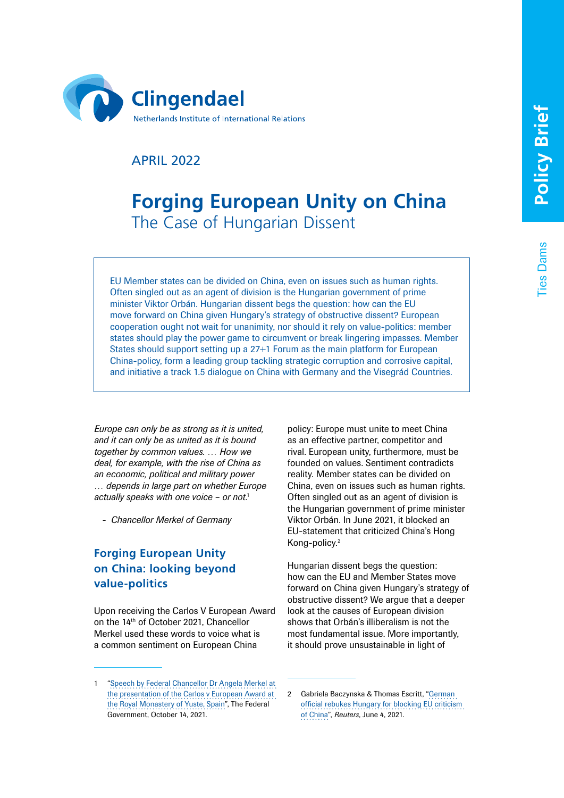Ties Dams

**ies Dams** 



APRIL 2022

# **Forging European Unity on China** The Case of Hungarian Dissent

EU Member states can be divided on China, even on issues such as human rights. Often singled out as an agent of division is the Hungarian government of prime minister Viktor Orbán. Hungarian dissent begs the question: how can the EU move forward on China given Hungary's strategy of obstructive dissent? European cooperation ought not wait for unanimity, nor should it rely on value-politics: member states should play the power game to circumvent or break lingering impasses. Member States should support setting up a 27+1 Forum as the main platform for European China-policy, form a leading group tackling strategic corruption and corrosive capital, and initiative a track 1.5 dialogue on China with Germany and the Visegrád Countries.

*Europe can only be as strong as it is united, and it can only be as united as it is bound together by common values. … How we deal, for example, with the rise of China as an economic, political and military power … depends in large part on whether Europe actually speaks with one voice – or not*. 1

*- Chancellor Merkel of Germany*

# **Forging European Unity on China: looking beyond value-politics**

Upon receiving the Carlos V European Award on the 14th of October 2021, Chancellor Merkel used these words to voice what is a common sentiment on European China

policy: Europe must unite to meet China as an effective partner, competitor and rival. European unity, furthermore, must be founded on values. Sentiment contradicts reality. Member states can be divided on China, even on issues such as human rights. Often singled out as an agent of division is the Hungarian government of prime minister Viktor Orbán. In June 2021, it blocked an EU-statement that criticized China's Hong Kong-policy.2

Hungarian dissent begs the question: how can the EU and Member States move forward on China given Hungary's strategy of obstructive dissent? We argue that a deeper look at the causes of European division shows that Orbán's illiberalism is not the most fundamental issue. More importantly, it should prove unsustainable in light of

<sup>&</sup>quot;Speech by Federal Chancellor Dr Angela Merkel at [the presentation of the Carlos v European Award at](https://www.bundesregierung.de/breg-en/news/speech-by-federal-chancellor-dr-angela-merkel-at-the-presentation-of-the-carlos-v-european-award-at-the-royal-monastery-of-yuste-spain-on-14-october-2021-1970526)  [the Royal Monastery of Yuste, Spain](https://www.bundesregierung.de/breg-en/news/speech-by-federal-chancellor-dr-angela-merkel-at-the-presentation-of-the-carlos-v-european-award-at-the-royal-monastery-of-yuste-spain-on-14-october-2021-1970526)", The Federal Government, October 14, 2021.

<sup>2</sup> Gabriela Baczynska & Thomas Escritt, "[German](https://www.reuters.com/world/europe/eu-cant-work-like-this-german-official-says-after-hungary-blocks-china-statement-2021-06-04/)  [official rebukes Hungary for blocking EU criticism](https://www.reuters.com/world/europe/eu-cant-work-like-this-german-official-says-after-hungary-blocks-china-statement-2021-06-04/)  [of China](https://www.reuters.com/world/europe/eu-cant-work-like-this-german-official-says-after-hungary-blocks-china-statement-2021-06-04/)", *Reuters*, June 4, 2021.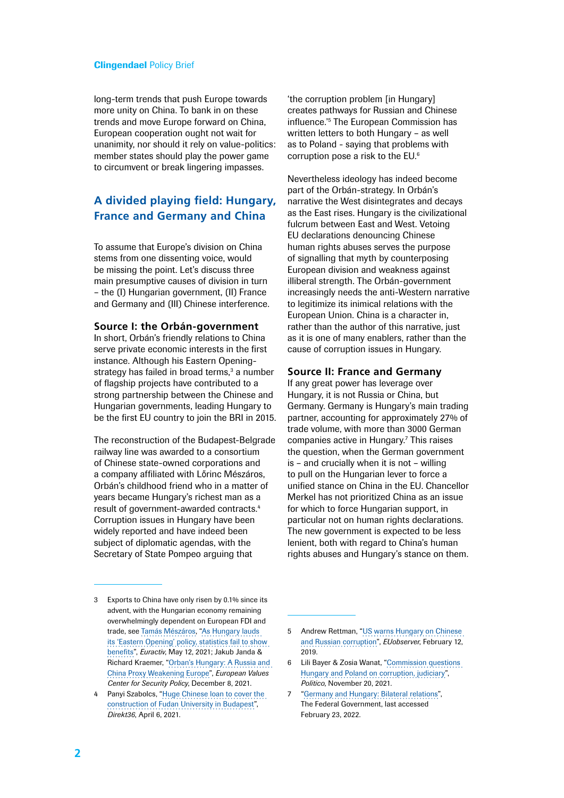long-term trends that push Europe towards more unity on China. To bank in on these trends and move Europe forward on China, European cooperation ought not wait for unanimity, nor should it rely on value-politics: member states should play the power game to circumvent or break lingering impasses.

# **A divided playing field: Hungary, France and Germany and China**

To assume that Europe's division on China stems from one dissenting voice, would be missing the point. Let's discuss three main presumptive causes of division in turn – the (I) Hungarian government, (II) France and Germany and (III) Chinese interference.

#### **Source I: the Orbán-government**

In short, Orbán's friendly relations to China serve private economic interests in the first instance. Although his Eastern Openingstrategy has failed in broad terms,<sup>3</sup> a number of flagship projects have contributed to a strong partnership between the Chinese and Hungarian governments, leading Hungary to be the first EU country to join the BRI in 2015.

The reconstruction of the Budapest-Belgrade railway line was awarded to a consortium of Chinese state-owned corporations and a company affiliated with Lőrinc Mészáros, Orbán's childhood friend who in a matter of years became Hungary's richest man as a result of government-awarded contracts.4 Corruption issues in Hungary have been widely reported and have indeed been subject of diplomatic agendas, with the Secretary of State Pompeo arguing that

'the corruption problem [in Hungary] creates pathways for Russian and Chinese influence.'5 The European Commission has written letters to both Hungary – as well as to Poland - saying that problems with corruption pose a risk to the EU.6

Nevertheless ideology has indeed become part of the Orbán-strategy. In Orbán's narrative the West disintegrates and decays as the East rises. Hungary is the civilizational fulcrum between East and West. Vetoing EU declarations denouncing Chinese human rights abuses serves the purpose of signalling that myth by counterposing European division and weakness against illiberal strength. The Orbán-government increasingly needs the anti-Western narrative to legitimize its inimical relations with the European Union. China is a character in, rather than the author of this narrative, just as it is one of many enablers, rather than the cause of corruption issues in Hungary.

#### **Source II: France and Germany**

If any great power has leverage over Hungary, it is not Russia or China, but Germany. Germany is Hungary's main trading partner, accounting for approximately 27% of trade volume, with more than 3000 German companies active in Hungary.<sup>7</sup> This raises the question, when the German government is – and crucially when it is not – willing to pull on the Hungarian lever to force a unified stance on China in the EU. Chancellor Merkel has not prioritized China as an issue for which to force Hungarian support, in particular not on human rights declarations. The new government is expected to be less lenient, both with regard to China's human rights abuses and Hungary's stance on them.

<sup>3</sup> Exports to China have only risen by 0.1% since its advent, with the Hungarian economy remaining overwhelmingly dependent on European FDI and trade, see [Tamás Mészáros,](https://www.euractiv.com/authors/tamas-r-meszaros/) ["As Hungary lauds](https://www.euractiv.com/section/economy-jobs/news/as-hungary-lauds-its-eastern-opening-policy-statistics-fail-to-show-benefits/)  [its 'Eastern Opening' policy, statistics fail to show](https://www.euractiv.com/section/economy-jobs/news/as-hungary-lauds-its-eastern-opening-policy-statistics-fail-to-show-benefits/)  [benefits](https://www.euractiv.com/section/economy-jobs/news/as-hungary-lauds-its-eastern-opening-policy-statistics-fail-to-show-benefits/)", *Euractiv*, May 12, 2021; Jakub Janda & Richard Kraemer, ["Orban's Hungary: A Russia and](https://europeanvalues.cz/en/orbans-hungary-a-russia-and-china-proxy-weakening-europe/)  [China Proxy Weakening Europe"](https://europeanvalues.cz/en/orbans-hungary-a-russia-and-china-proxy-weakening-europe/), *European Values Center for Security Policy*, December 8, 2021.

<sup>4</sup> Panyi Szabolcs, "[Huge Chinese loan to cover the](https://www.direkt36.hu/en/kinai-hitelbol-keszul-a-magyar-felsooktatas-oriasberuhazasa-a-kormany-mar-oda-is-igerte-egy-kinai-cegnek/)  [construction of Fudan University in Budapest](https://www.direkt36.hu/en/kinai-hitelbol-keszul-a-magyar-felsooktatas-oriasberuhazasa-a-kormany-mar-oda-is-igerte-egy-kinai-cegnek/)", *Direkt36*, April 6, 2021.

<sup>5</sup> Andrew Rettman, "[US warns Hungary on Chinese](https://euobserver.com/foreign/144143)  [and Russian corruption"](https://euobserver.com/foreign/144143), *EUobserver*, February 12, 2019.

<sup>6</sup> Lili Bayer & Zosia Wanat, "[Commission questions](https://www.politico.eu/article/eu-commission-questions-hungary-on-corruption-judiciary/)  [Hungary and Poland on corruption, judiciary"](https://www.politico.eu/article/eu-commission-questions-hungary-on-corruption-judiciary/), *Politico*, November 20, 2021.

<sup>7</sup> "[Germany and Hungary: Bilateral relations](https://www.auswaertiges-amt.de/en/aussenpolitik/hungary/227940)", The Federal Government, last accessed February 23, 2022.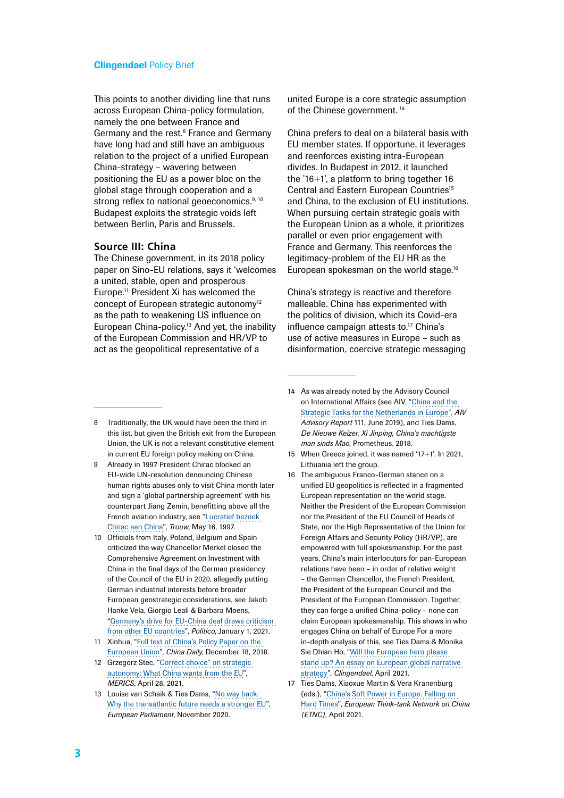This points to another dividing line that runs across European China-policy formulation, namely the one between France and Germany and the rest.<sup>8</sup> France and Germany have long had and still have an ambiguous relation to the project of a unified European China-strategy – wavering between positioning the EU as a power bloc on the global stage through cooperation and a strong reflex to national geoeconomics.<sup>9, 10</sup> Budapest exploits the strategic voids left between Berlin, Paris and Brussels.

# **Source III: China**

The Chinese government, in its 2018 policy paper on Sino-EU relations, says it 'welcomes a united, stable, open and prosperous Europe.<sup>11</sup> President Xi has welcomed the concept of European strategic autonomy<sup>12</sup> as the path to weakening US influence on European China-policy.13 And yet, the inability of the European Commission and HR/VP to act as the geopolitical representative of a

united Europe is a core strategic assumption of the Chinese government.<sup>14</sup>

China prefers to deal on a bilateral basis with EU member states. If opportune, it leverages and reenforces existing intra-European divides. In Budapest in 2012, it launched the '16+1', a platform to bring together 16 Central and Eastern European Countries<sup>15</sup> and China, to the exclusion of EU institutions. When pursuing certain strategic goals with the European Union as a whole, it prioritizes parallel or even prior engagement with France and Germany. This reenforces the legitimacy-problem of the EU HR as the European spokesman on the world stage.<sup>16</sup>

China's strategy is reactive and therefore malleable. China has experimented with the politics of division, which its Covid-era influence campaign attests to.<sup>17</sup> China's use of active measures in Europe – such as disinformation, coercive strategic messaging

- 8 Traditionally, the UK would have been the third in this list, but given the British exit from the European Union, the UK is not a relevant constitutive element in current EU foreign policy making on China.
- 9 Already in 1997 President Chirac blocked an EU-wide UN-resolution denouncing Chinese human rights abuses only to visit China month later and sign a 'global partnership agreement' with his counterpart Jiang Zemin, benefitting above all the French aviation industry, see "[Lucratief bezoek](https://www.trouw.nl/nieuws/lucratief-bezoek-chirac-aan-china~b20ca2b5/?utm_campaign=shared_earned&utm_medium=social&utm_source=copylink)  [Chirac aan China](https://www.trouw.nl/nieuws/lucratief-bezoek-chirac-aan-china~b20ca2b5/?utm_campaign=shared_earned&utm_medium=social&utm_source=copylink)", *Trouw*, May 16, 1997.
- 10 Officials from Italy, Poland, Belgium and Spain criticized the way Chancellor Merkel closed the Comprehensive Agreement on Investment with China in the final days of the German presidency of the Council of the EU in 2020, allegedly putting German industrial interests before broader European geostrategic considerations, see Jakob Hanke Vela, Giorgio Leali & Barbara Moens, ["Germany's drive for EU-China deal draws criticism](https://www.politico.eu/article/germanys-drive-for-eu-china-deal-draws-criticism-from-other-eu-countries/)  [from other EU countries](https://www.politico.eu/article/germanys-drive-for-eu-china-deal-draws-criticism-from-other-eu-countries/)", *Politico*, January 1, 2021.
- 11 Xinhua, "[Full text of China's Policy Paper on the](https://global.chinadaily.com.cn/a/201812/18/WS5c1897a0a3107d4c3a001758.html)  [European Union"](https://global.chinadaily.com.cn/a/201812/18/WS5c1897a0a3107d4c3a001758.html), *China Daily*, December 18, 2018.
- 12 Grzegorz Stec, "[Correct choice" on strategic](https://merics.org/en/merics-briefs/correct-choice-strategic-autonomy-what-china-wants-eu)  [autonomy: What China wants from the EU"](https://merics.org/en/merics-briefs/correct-choice-strategic-autonomy-what-china-wants-eu), *MERICS*, April 28, 2021.
- 13 Louise van Schaik & Ties Dams, ["No way back:](https://www.clingendael.org/publication/no-way-back-why-transatlantic-future-needs-stronger-eu)  [Why the transatlantic future needs a stronger EU](https://www.clingendael.org/publication/no-way-back-why-transatlantic-future-needs-stronger-eu)", *European Parliament*, November 2020.
- 14 As was already noted by the Advisory Council on International Affairs (see AIV, "[China and the](https://www.advisorycouncilinternationalaffairs.nl/documents/publications/2019/06/26/china-and-the-strategic-tasks-for-the-netherlands-in-europe)  [Strategic Tasks for the Netherlands in Europe",](https://www.advisorycouncilinternationalaffairs.nl/documents/publications/2019/06/26/china-and-the-strategic-tasks-for-the-netherlands-in-europe) *AIV Advisory Report* 111, June 2019), and Ties Dams, *De Nieuwe Keizer. Xi Jinping, China's machtigste man sinds Mao*, Prometheus, 2018.
- 15 When Greece joined, it was named '17+1'. In 2021, Lithuania left the group.
- 16 The ambiguous Franco-German stance on a unified EU geopolitics is reflected in a fragmented European representation on the world stage. Neither the President of the European Commission nor the President of the EU Council of Heads of State, nor the High Representative of the Union for Foreign Affairs and Security Policy (HR/VP), are empowered with full spokesmanship. For the past years, China's main interlocutors for pan-European relations have been – in order of relative weight – the German Chancellor, the French President, the President of the European Council and the President of the European Commission. Together, they can forge a unified China-policy – none can claim European spokesmanship. This shows in who engages China on behalf of Europe For a more in-depth analysis of this, see Ties Dams & Monika Sie Dhian Ho, "[Will the European hero please](https://www.clingendael.org/pub/2021/the-european-hero/)  [stand up? An essay on European global narrative](https://www.clingendael.org/pub/2021/the-european-hero/)  [strategy"](https://www.clingendael.org/pub/2021/the-european-hero/), *Clingendael*, April 2021.
- 17 Ties Dams, Xiaoxue Martin & Vera Kranenburg (eds.), "[China's Soft Power in Europe: Falling on](https://www.clingendael.org/publication/chinas-soft-power-europe-falling-hard-times)  [Hard Times"](https://www.clingendael.org/publication/chinas-soft-power-europe-falling-hard-times), *European Think-tank Network on China (ETNC)*, April 2021.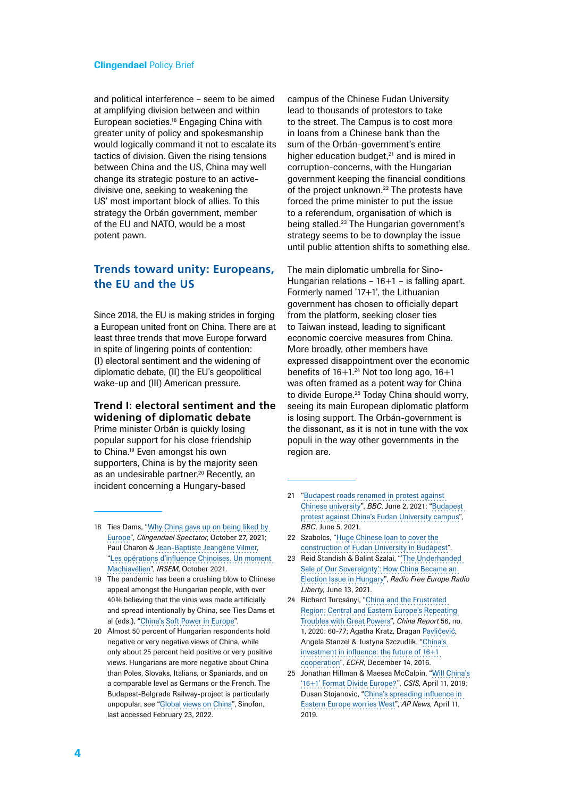and political interference – seem to be aimed at amplifying division between and within European societies.18 Engaging China with greater unity of policy and spokesmanship would logically command it not to escalate its tactics of division. Given the rising tensions between China and the US, China may well change its strategic posture to an activedivisive one, seeking to weakening the US' most important block of allies. To this strategy the Orbán government, member of the EU and NATO, would be a most potent pawn.

# **Trends toward unity: Europeans, the EU and the US**

Since 2018, the EU is making strides in forging a European united front on China. There are at least three trends that move Europe forward in spite of lingering points of contention: (I) electoral sentiment and the widening of diplomatic debate, (II) the EU's geopolitical wake-up and (III) American pressure.

# **Trend I: electoral sentiment and the widening of diplomatic debate**

Prime minister Orbán is quickly losing popular support for his close friendship to China.<sup>19</sup> Even amongst his own supporters, China is by the majority seen as an undesirable partner.<sup>20</sup> Recently, an incident concerning a Hungary-based

campus of the Chinese Fudan University lead to thousands of protestors to take to the street. The Campus is to cost more in loans from a Chinese bank than the sum of the Orbán-government's entire higher education budget, $21$  and is mired in corruption-concerns, with the Hungarian government keeping the financial conditions of the project unknown.<sup>22</sup> The protests have forced the prime minister to put the issue to a referendum, organisation of which is being stalled.23 The Hungarian government's strategy seems to be to downplay the issue until public attention shifts to something else.

The main diplomatic umbrella for Sino-Hungarian relations – 16+1 – is falling apart. Formerly named '17+1', the Lithuanian government has chosen to officially depart from the platform, seeking closer ties to Taiwan instead, leading to significant economic coercive measures from China. More broadly, other members have expressed disappointment over the economic benefits of  $16+1.^{24}$  Not too long ago,  $16+1$ was often framed as a potent way for China to divide Europe.<sup>25</sup> Today China should worry, seeing its main European diplomatic platform is losing support. The Orbán-government is the dissonant, as it is not in tune with the vox populi in the way other governments in the region are.

- 18 Ties Dams, "[Why China gave up on being liked by](https://spectator.clingendael.org/en/publication/why-china-gave-being-liked-europe)  [Europe"](https://spectator.clingendael.org/en/publication/why-china-gave-being-liked-europe), *Clingendael Spectator*, October 27, 2021; Paul Charon & [Jean-Baptiste Jeangène Vilmer](https://www.irsem.fr/equipe/jean-baptiste-jeangene-vilmer.html), "[Les opérations d'influence Chinoises. Un moment](https://www.irsem.fr/rapport.html)  [Machiavélien"](https://www.irsem.fr/rapport.html), *IRSEM*, October 2021.
- 19 The pandemic has been a crushing blow to Chinese appeal amongst the Hungarian people, with over 40% believing that the virus was made artificially and spread intentionally by China, see Ties Dams et al (eds.), ["China's Soft Power in Europe](https://www.clingendael.org/publication/chinas-soft-power-europe-falling-hard-times)".
- 20 Almost 50 percent of Hungarian respondents hold negative or very negative views of China, while only about 25 percent held positive or very positive views. Hungarians are more negative about China than Poles, Slovaks, Italians, or Spaniards, and on a comparable level as Germans or the French. The Budapest-Belgrade Railway-project is particularly unpopular, see "[Global views on China"](https://sinofon.cz/surveys/), Sinofon, last accessed February 23, 2022.
- 21 "[Budapest roads renamed in protest against](https://www.bbc.com/news/world-europe-57333270)  [Chinese university"](https://www.bbc.com/news/world-europe-57333270), *BBC*, June 2, 2021; ["Budapest](https://www.bbc.com/news/world-europe-57372653?fbclid=IwAR3WtNAqFf5yLJk0mTOOw4CI40Y6Wvi4AuT6zXmSmW28RTEJuhAkROyFYa0)  [protest against China's Fudan University campus"](https://www.bbc.com/news/world-europe-57372653?fbclid=IwAR3WtNAqFf5yLJk0mTOOw4CI40Y6Wvi4AuT6zXmSmW28RTEJuhAkROyFYa0), *BBC*, June 5, 2021.
- 22 Szabolcs, ["Huge Chinese loan to cover the](https://www.direkt36.hu/en/kinai-hitelbol-keszul-a-magyar-felsooktatas-oriasberuhazasa-a-kormany-mar-oda-is-igerte-egy-kinai-cegnek/)  [construction of Fudan University in Budapest"](https://www.direkt36.hu/en/kinai-hitelbol-keszul-a-magyar-felsooktatas-oriasberuhazasa-a-kormany-mar-oda-is-igerte-egy-kinai-cegnek/).
- 23 Reid Standish & Balint Szalai, ["'The Underhanded](https://www.rferl.org/a/hungary-china-orban-fudan-elections/31304764.html)  [Sale of Our Sovereignty': How China Became an](https://www.rferl.org/a/hungary-china-orban-fudan-elections/31304764.html)  [Election Issue in Hungary](https://www.rferl.org/a/hungary-china-orban-fudan-elections/31304764.html)", *Radio Free Europe Radio Liberty*, June 13, 2021.
- 24 Richard Turcsányi, ["China and the Frustrated](https://journals.sagepub.com/doi/pdf/10.1177/0009445519895626)  [Region: Central and Eastern Europe's Repeating](https://journals.sagepub.com/doi/pdf/10.1177/0009445519895626)  [Troubles with Great Powers](https://journals.sagepub.com/doi/pdf/10.1177/0009445519895626)", *China Report* 56, no. 1, 2020: 60-77; Agatha Kratz, Dragan [Pavli](https://ecfr.eu/profile/dragan-pavlicevic/)ćević, Angela Stanzel & Justyna Szczudlik, ["China's](https://ecfr.eu/publication/chinas_investment_in_influence_the_future_of_161_cooperation7204/)  [investment in influence: the future of 16+1](https://ecfr.eu/publication/chinas_investment_in_influence_the_future_of_161_cooperation7204/)  [cooperation"](https://ecfr.eu/publication/chinas_investment_in_influence_the_future_of_161_cooperation7204/), *ECFR*, December 14, 2016.
- 25 Jonathan Hillman & Maesea McCalpin, ["Will China's](https://www.csis.org/analysis/will-chinas-161-format-divide-europe) ['16+1' Format Divide Europe?](https://www.csis.org/analysis/will-chinas-161-format-divide-europe)", *CSIS*, April 11, 2019; Dusan Stojanovic, "[China's spreading influence in](https://apnews.com/article/eastern-europe-ap-top-news-international-news-croatia-china-d121bfc580f04e73b886cc8c5a155f7e)  [Eastern Europe worries West](https://apnews.com/article/eastern-europe-ap-top-news-international-news-croatia-china-d121bfc580f04e73b886cc8c5a155f7e)", *AP News*, April 11, 2019.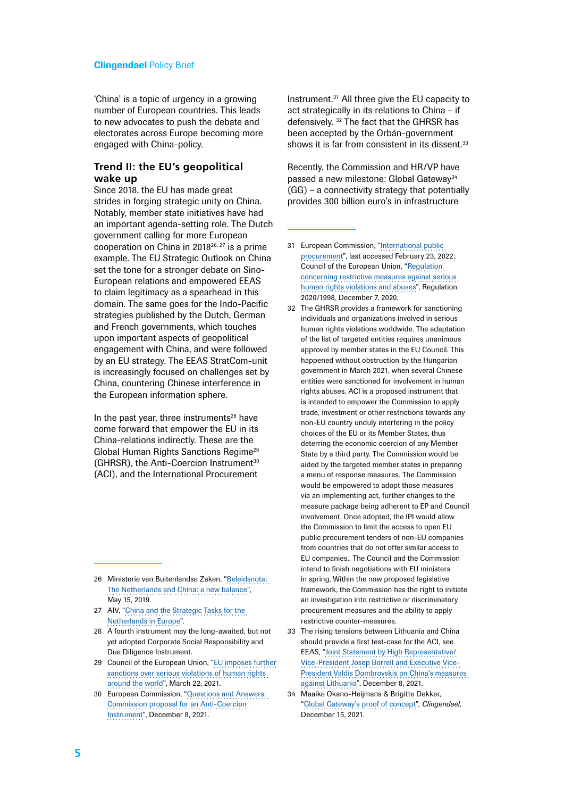'China' is a topic of urgency in a growing number of European countries. This leads to new advocates to push the debate and electorates across Europe becoming more engaged with China-policy.

## **Trend II: the EU's geopolitical wake up**

Since 2018, the EU has made great strides in forging strategic unity on China. Notably, member state initiatives have had an important agenda-setting role. The Dutch government calling for more European cooperation on China in 201826, 27 is a prime example. The EU Strategic Outlook on China set the tone for a stronger debate on Sino-European relations and empowered EEAS to claim legitimacy as a spearhead in this domain. The same goes for the Indo-Pacific strategies published by the Dutch, German and French governments, which touches upon important aspects of geopolitical engagement with China, and were followed by an EU strategy. The EEAS StratCom-unit is increasingly focused on challenges set by China, countering Chinese interference in the European information sphere.

In the past year, three instruments $28$  have come forward that empower the EU in its China-relations indirectly. These are the Global Human Rights Sanctions Regime<sup>29</sup> (GHRSR), the Anti-Coercion Instrument<sup>30</sup> (ACI), and the International Procurement

- 27 AIV, ["China and the Strategic Tasks for the](https://www.advisorycouncilinternationalaffairs.nl/documents/publications/2019/06/26/china-and-the-strategic-tasks-for-the-netherlands-in-europe)  [Netherlands in Europe](https://www.advisorycouncilinternationalaffairs.nl/documents/publications/2019/06/26/china-and-the-strategic-tasks-for-the-netherlands-in-europe)".
- 28 A fourth instrument may the long-awaited, but not yet adopted Corporate Social Responsibility and Due Diligence Instrument.
- 29 Council of the European Union, "[EU imposes further](https://www.consilium.europa.eu/en/press/press-releases/2021/03/22/eu-imposes-further-sanctions-over-serious-violations-of-human-rights-around-the-world/)  [sanctions over serious violations of human rights](https://www.consilium.europa.eu/en/press/press-releases/2021/03/22/eu-imposes-further-sanctions-over-serious-violations-of-human-rights-around-the-world/)  [around the world](https://www.consilium.europa.eu/en/press/press-releases/2021/03/22/eu-imposes-further-sanctions-over-serious-violations-of-human-rights-around-the-world/)", March 22, 2021.
- 30 European Commission, ["Questions and Answers:](https://ec.europa.eu/commission/presscorner/detail/en/qanda_21_6643)  [Commission proposal for an Anti-Coercion](https://ec.europa.eu/commission/presscorner/detail/en/qanda_21_6643)  [Instrument"](https://ec.europa.eu/commission/presscorner/detail/en/qanda_21_6643), December 8, 2021.

Instrument.31 All three give the EU capacity to act strategically in its relations to China – if defensively. 32 The fact that the GHRSR has been accepted by the Orbán-government shows it is far from consistent in its dissent.<sup>33</sup>

Recently, the Commission and HR/VP have passed a new milestone: Global Gateway<sup>34</sup> (GG) – a connectivity strategy that potentially provides 300 billion euro's in infrastructure

- 31 European Commission, "[International public](https://ec.europa.eu/growth/single-market/public-procurement/international-public-procurement_nl)  [procurement](https://ec.europa.eu/growth/single-market/public-procurement/international-public-procurement_nl)", last accessed February 23, 2022; Council of the European Union, ["Regulation](https://eur-lex.europa.eu/legal-content/EN/TXT/?uri=uriserv%3AOJ.LI.2020.410.01.0001.01.ENG&toc=OJ%3AL%3A2020%3A410I%3ATOC)  [concerning restrictive measures against serious](https://eur-lex.europa.eu/legal-content/EN/TXT/?uri=uriserv%3AOJ.LI.2020.410.01.0001.01.ENG&toc=OJ%3AL%3A2020%3A410I%3ATOC)  [human rights violations and abuses](https://eur-lex.europa.eu/legal-content/EN/TXT/?uri=uriserv%3AOJ.LI.2020.410.01.0001.01.ENG&toc=OJ%3AL%3A2020%3A410I%3ATOC)", Regulation 2020/1998, December 7, 2020.
- 32 The GHRSR provides a framework for sanctioning individuals and organizations involved in serious human rights violations worldwide. The adaptation of the list of targeted entities requires unanimous approval by member states in the EU Council. This happened without obstruction by the Hungarian government in March 2021, when several Chinese entities were sanctioned for involvement in human rights abuses. ACI is a proposed instrument that is intended to empower the Commission to apply trade, investment or other restrictions towards any non-EU country unduly interfering in the policy choices of the EU or its Member States, thus deterring the economic coercion of any Member State by a third party. The Commission would be aided by the targeted member states in preparing a menu of response measures. The Commission would be empowered to adopt those measures via an implementing act, further changes to the measure package being adherent to EP and Council involvement. Once adopted, the IPI would allow the Commission to limit the access to open EU public procurement tenders of non-EU companies from countries that do not offer similar access to EU companies.. The Council and the Commission intend to finish negotiations with EU ministers in spring. Within the now proposed legislative framework, the Commission has the right to initiate an investigation into restrictive or discriminatory procurement measures and the ability to apply restrictive counter-measures.
- 33 The rising tensions between Lithuania and China should provide a first test-case for the ACI, see EEAS, ["Joint Statement by High Representative/](https://eeas.europa.eu/headquarters/headquarters-homepage/108530/joint-statement-high-representativevice-president-josep-borrell-and-executive-vice-president_en) [Vice-President Josep Borrell and Executive Vice-](https://eeas.europa.eu/headquarters/headquarters-homepage/108530/joint-statement-high-representativevice-president-josep-borrell-and-executive-vice-president_en)[President Valdis Dombrovskis on China's measures](https://eeas.europa.eu/headquarters/headquarters-homepage/108530/joint-statement-high-representativevice-president-josep-borrell-and-executive-vice-president_en)  [against Lithuania"](https://eeas.europa.eu/headquarters/headquarters-homepage/108530/joint-statement-high-representativevice-president-josep-borrell-and-executive-vice-president_en), December 8, 2021.
- 34 Maaike Okano-Heijmans & Brigitte Dekker, "[Global Gateway's proof of concept"](https://eeas.europa.eu/headquarters/headquarters-homepage/108530/joint-statement-high-representativevice-president-josep-borrell-and-executive-vice-president_en), *Clingendael*, December 15, 2021.

<sup>26</sup> Ministerie van Buitenlandse Zaken, "[Beleidsnota:](https://www.government.nl/documents/policy-notes/2019/05/15/china-strategy-the-netherlands--china-a-new-balance)  [The Netherlands and China: a new balance"](https://www.government.nl/documents/policy-notes/2019/05/15/china-strategy-the-netherlands--china-a-new-balance), May 15, 2019.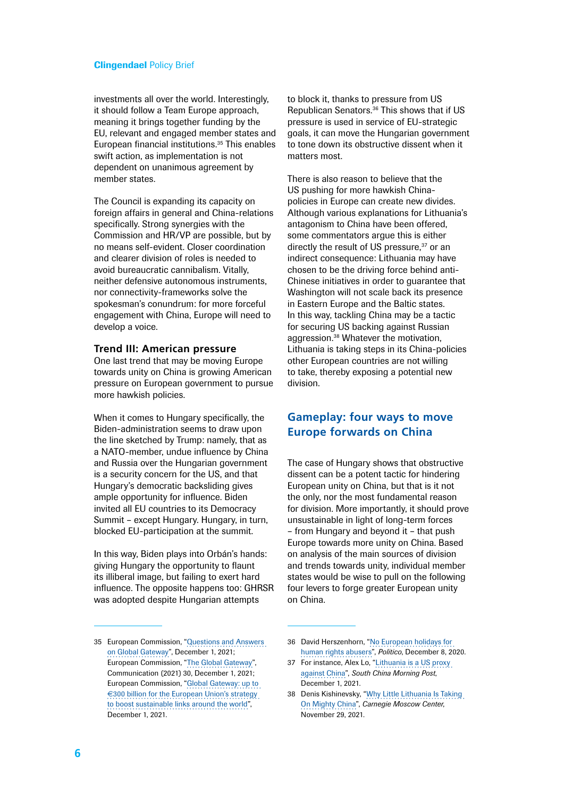investments all over the world. Interestingly, it should follow a Team Europe approach, meaning it brings together funding by the EU, relevant and engaged member states and European financial institutions.35 This enables swift action, as implementation is not dependent on unanimous agreement by member states.

The Council is expanding its capacity on foreign affairs in general and China-relations specifically. Strong synergies with the Commission and HR/VP are possible, but by no means self-evident. Closer coordination and clearer division of roles is needed to avoid bureaucratic cannibalism. Vitally, neither defensive autonomous instruments, nor connectivity-frameworks solve the spokesman's conundrum: for more forceful engagement with China, Europe will need to develop a voice.

# **Trend III: American pressure**

One last trend that may be moving Europe towards unity on China is growing American pressure on European government to pursue more hawkish policies.

When it comes to Hungary specifically, the Biden-administration seems to draw upon the line sketched by Trump: namely, that as a NATO-member, undue influence by China and Russia over the Hungarian government is a security concern for the US, and that Hungary's democratic backsliding gives ample opportunity for influence. Biden invited all EU countries to its Democracy Summit – except Hungary. Hungary, in turn, blocked EU-participation at the summit.

In this way, Biden plays into Orbán's hands: giving Hungary the opportunity to flaunt its illiberal image, but failing to exert hard influence. The opposite happens too: GHRSR was adopted despite Hungarian attempts

to block it, thanks to pressure from US Republican Senators.36 This shows that if US pressure is used in service of EU-strategic goals, it can move the Hungarian government to tone down its obstructive dissent when it matters most

There is also reason to believe that the US pushing for more hawkish Chinapolicies in Europe can create new divides. Although various explanations for Lithuania's antagonism to China have been offered, some commentators argue this is either directly the result of US pressure,<sup>37</sup> or an indirect consequence: Lithuania may have chosen to be the driving force behind anti-Chinese initiatives in order to guarantee that Washington will not scale back its presence in Eastern Europe and the Baltic states. In this way, tackling China may be a tactic for securing US backing against Russian aggression.38 Whatever the motivation, Lithuania is taking steps in its China-policies other European countries are not willing to take, thereby exposing a potential new division.

# **Gameplay: four ways to move Europe forwards on China**

The case of Hungary shows that obstructive dissent can be a potent tactic for hindering European unity on China, but that is it not the only, nor the most fundamental reason for division. More importantly, it should prove unsustainable in light of long-term forces – from Hungary and beyond it – that push Europe towards more unity on China. Based on analysis of the main sources of division and trends towards unity, individual member states would be wise to pull on the following four levers to forge greater European unity on China.

<sup>35</sup> European Commission, ["Questions and Answers](https://ec.europa.eu/commission/presscorner/detail/en/qanda_21_6434)  [on Global Gateway](https://ec.europa.eu/commission/presscorner/detail/en/qanda_21_6434)", December 1, 2021; European Commission, "[The Global Gateway](https://ec.europa.eu/info/sites/default/files/joint_communication_global_gateway.pdf)", Communication (2021) 30, December 1, 2021; European Commission, ["Global Gateway: up to](https://ec.europa.eu/commission/presscorner/detail/en/ip_21_6433)  €[300 billion for the European Union's strategy](https://ec.europa.eu/commission/presscorner/detail/en/ip_21_6433)  [to boost sustainable links around the world"](https://ec.europa.eu/commission/presscorner/detail/en/ip_21_6433), December 1, 2021.

<sup>36</sup> David Herszenhorn, "[No European holidays for](https://www.politico.eu/article/no-european-holidays-for-human-rights-abusers-sanctions-eu-magnitsky-act/)  [human rights abusers"](https://www.politico.eu/article/no-european-holidays-for-human-rights-abusers-sanctions-eu-magnitsky-act/), *Politico*, December 8, 2020.

<sup>37</sup> For instance, Alex Lo, "[Lithuania is a US proxy](https://www.scmp.com/comment/opinion/article/3158073/lithuania-us-proxy-against-china)  [against China"](https://www.scmp.com/comment/opinion/article/3158073/lithuania-us-proxy-against-china), *South China Morning Post*, December 1, 2021.

<sup>38</sup> Denis Kishinevsky, "[Why Little Lithuania Is Taking](https://carnegiemoscow.org/commentary/85873)  [On Mighty China"](https://carnegiemoscow.org/commentary/85873), *Carnegie Moscow Center*, November 29, 2021.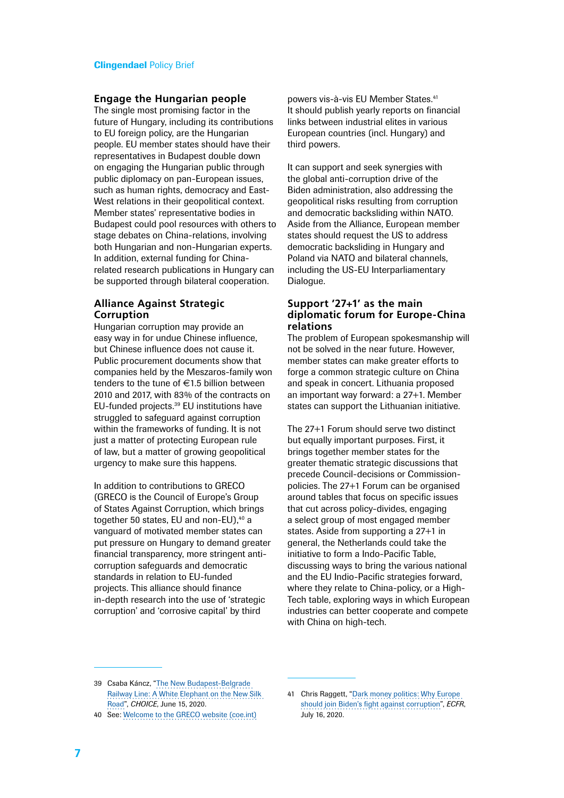#### **Engage the Hungarian people**

The single most promising factor in the future of Hungary, including its contributions to EU foreign policy, are the Hungarian people. EU member states should have their representatives in Budapest double down on engaging the Hungarian public through public diplomacy on pan-European issues, such as human rights, democracy and East-West relations in their geopolitical context. Member states' representative bodies in Budapest could pool resources with others to stage debates on China-relations, involving both Hungarian and non-Hungarian experts. In addition, external funding for Chinarelated research publications in Hungary can be supported through bilateral cooperation.

## **Alliance Against Strategic Corruption**

Hungarian corruption may provide an easy way in for undue Chinese influence, but Chinese influence does not cause it. Public procurement documents show that companies held by the Meszaros-family won tenders to the tune of  $\in$ 1.5 billion between 2010 and 2017, with 83% of the contracts on EU-funded projects.39 EU institutions have struggled to safeguard against corruption within the frameworks of funding. It is not just a matter of protecting European rule of law, but a matter of growing geopolitical urgency to make sure this happens.

In addition to contributions to GRECO (GRECO is the Council of Europe's Group of States Against Corruption, which brings together 50 states, EU and non-EU),<sup>40</sup> a vanguard of motivated member states can put pressure on Hungary to demand greater financial transparency, more stringent anticorruption safeguards and democratic standards in relation to EU-funded projects. This alliance should finance in-depth research into the use of 'strategic corruption' and 'corrosive capital' by third

powers vis-à-vis EU Member States.<sup>41</sup> It should publish yearly reports on financial links between industrial elites in various European countries (incl. Hungary) and third powers.

It can support and seek synergies with the global anti-corruption drive of the Biden administration, also addressing the geopolitical risks resulting from corruption and democratic backsliding within NATO. Aside from the Alliance, European member states should request the US to address democratic backsliding in Hungary and Poland via NATO and bilateral channels, including the US-EU Interparliamentary Dialogue.

## **Support '27+1' as the main diplomatic forum for Europe-China relations**

The problem of European spokesmanship will not be solved in the near future. However, member states can make greater efforts to forge a common strategic culture on China and speak in concert. Lithuania proposed an important way forward: a 27+1. Member states can support the Lithuanian initiative.

The 27+1 Forum should serve two distinct but equally important purposes. First, it brings together member states for the greater thematic strategic discussions that precede Council-decisions or Commissionpolicies. The 27+1 Forum can be organised around tables that focus on specific issues that cut across policy-divides, engaging a select group of most engaged member states. Aside from supporting a 27+1 in general, the Netherlands could take the initiative to form a Indo-Pacific Table, discussing ways to bring the various national and the EU Indio-Pacific strategies forward, where they relate to China-policy, or a High-Tech table, exploring ways in which European industries can better cooperate and compete with China on high-tech.

<sup>39</sup> Csaba Káncz, "[The New Budapest-Belgrade](https://chinaobservers.eu/the-new-budapest-belgrade-railway-line-a-white-elephant-on-the-new-silk-road/)  [Railway Line: A White Elephant on the New Silk](https://chinaobservers.eu/the-new-budapest-belgrade-railway-line-a-white-elephant-on-the-new-silk-road/)  [Road](https://chinaobservers.eu/the-new-budapest-belgrade-railway-line-a-white-elephant-on-the-new-silk-road/)", *CHOICE*, June 15, 2020.

<sup>40</sup> See: [Welcome to the GRECO website \(coe.int\)](https://www.coe.int/en/web/greco)

<sup>41</sup> Chris Raggett, "[Dark money politics: Why Europe](https://ecfr.eu/publication/dark-money-politics-why-europe-should-join-bidens-fight-against-corruption/#strategic-corruption)  [should join Biden's fight against corruption"](https://ecfr.eu/publication/dark-money-politics-why-europe-should-join-bidens-fight-against-corruption/#strategic-corruption), *ECFR*, July 16, 2020.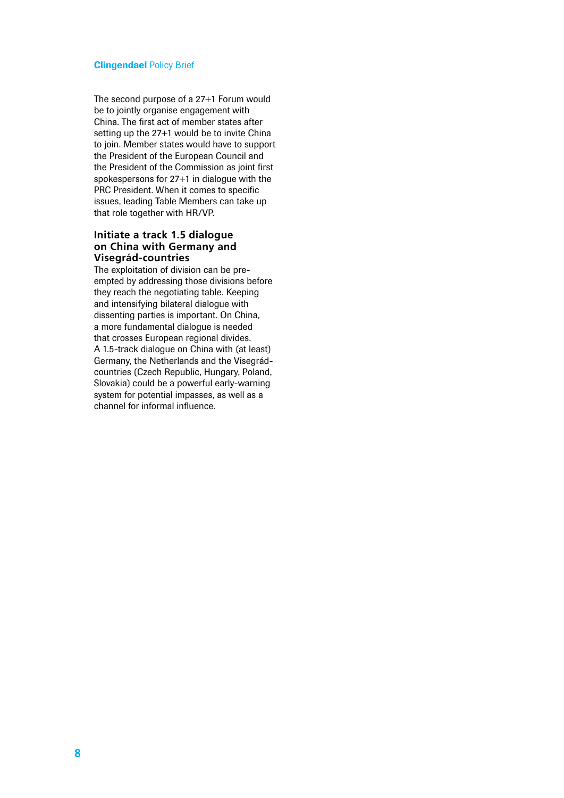The second purpose of a 27+1 Forum would be to jointly organise engagement with China. The first act of member states after setting up the 27+1 would be to invite China to join. Member states would have to support the President of the European Council and the President of the Commission as joint first spokespersons for 27+1 in dialogue with the PRC President. When it comes to specific issues, leading Table Members can take up that role together with HR/VP.

# **Initiate a track 1.5 dialogue on China with Germany and Visegrád-countries**

The exploitation of division can be preempted by addressing those divisions before they reach the negotiating table. Keeping and intensifying bilateral dialogue with dissenting parties is important. On China, a more fundamental dialogue is needed that crosses European regional divides. A 1.5-track dialogue on China with (at least) Germany, the Netherlands and the Visegrádcountries (Czech Republic, Hungary, Poland, Slovakia) could be a powerful early-warning system for potential impasses, as well as a channel for informal influence.